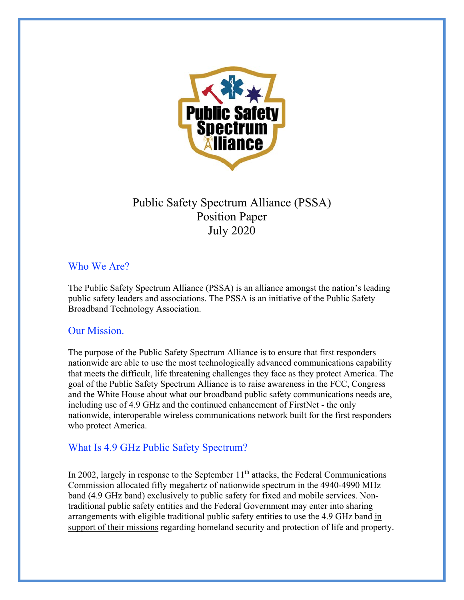

# Public Safety Spectrum Alliance (PSSA) Position Paper July 2020

# Who We Are?

The Public Safety Spectrum Alliance (PSSA) is an alliance amongst the nation's leading public safety leaders and associations. The PSSA is an initiative of the Public Safety Broadband Technology Association.

# Our Mission.

The purpose of the Public Safety Spectrum Alliance is to ensure that first responders nationwide are able to use the most technologically advanced communications capability that meets the difficult, life threatening challenges they face as they protect America. The goal of the Public Safety Spectrum Alliance is to raise awareness in the FCC, Congress and the White House about what our broadband public safety communications needs are, including use of 4.9 GHz and the continued enhancement of FirstNet - the only nationwide, interoperable wireless communications network built for the first responders who protect America.

# What Is 4.9 GHz Public Safety Spectrum?

In 2002, largely in response to the September  $11<sup>th</sup>$  attacks, the Federal Communications Commission allocated fifty megahertz of nationwide spectrum in the 4940-4990 MHz band (4.9 GHz band) exclusively to public safety for fixed and mobile services. Nontraditional public safety entities and the Federal Government may enter into sharing arrangements with eligible traditional public safety entities to use the 4.9 GHz band in support of their missions regarding homeland security and protection of life and property.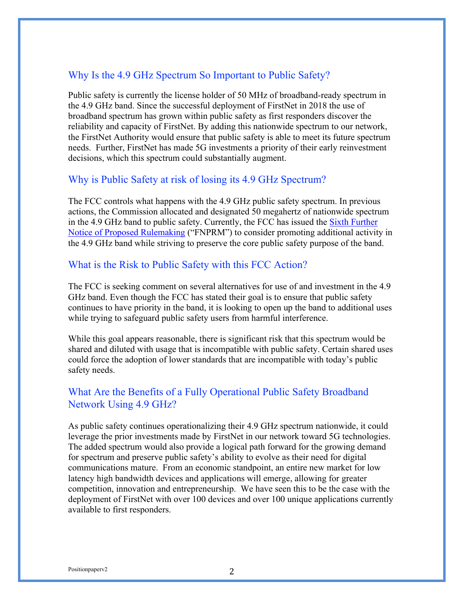# Why Is the 4.9 GHz Spectrum So Important to Public Safety?

Public safety is currently the license holder of 50 MHz of broadband-ready spectrum in the 4.9 GHz band. Since the successful deployment of FirstNet in 2018 the use of broadband spectrum has grown within public safety as first responders discover the reliability and capacity of FirstNet. By adding this nationwide spectrum to our network, the FirstNet Authority would ensure that public safety is able to meet its future spectrum needs. Further, FirstNet has made 5G investments a priority of their early reinvestment decisions, which this spectrum could substantially augment.

#### Why is Public Safety at risk of losing its 4.9 GHz Spectrum?

The FCC controls what happens with the 4.9 GHz public safety spectrum. In previous actions, the Commission allocated and designated 50 megahertz of nationwide spectrum in the 4.9 GHz band to public safety. Currently, the FCC has issued the Sixth Further Notice of Proposed Rulemaking ("FNPRM") to consider promoting additional activity in the 4.9 GHz band while striving to preserve the core public safety purpose of the band.

#### What is the Risk to Public Safety with this FCC Action?

The FCC is seeking comment on several alternatives for use of and investment in the 4.9 GHz band. Even though the FCC has stated their goal is to ensure that public safety continues to have priority in the band, it is looking to open up the band to additional uses while trying to safeguard public safety users from harmful interference.

While this goal appears reasonable, there is significant risk that this spectrum would be shared and diluted with usage that is incompatible with public safety. Certain shared uses could force the adoption of lower standards that are incompatible with today's public safety needs.

# What Are the Benefits of a Fully Operational Public Safety Broadband Network Using 4.9 GHz?

As public safety continues operationalizing their 4.9 GHz spectrum nationwide, it could leverage the prior investments made by FirstNet in our network toward 5G technologies. The added spectrum would also provide a logical path forward for the growing demand for spectrum and preserve public safety's ability to evolve as their need for digital communications mature. From an economic standpoint, an entire new market for low latency high bandwidth devices and applications will emerge, allowing for greater competition, innovation and entrepreneurship. We have seen this to be the case with the deployment of FirstNet with over 100 devices and over 100 unique applications currently available to first responders.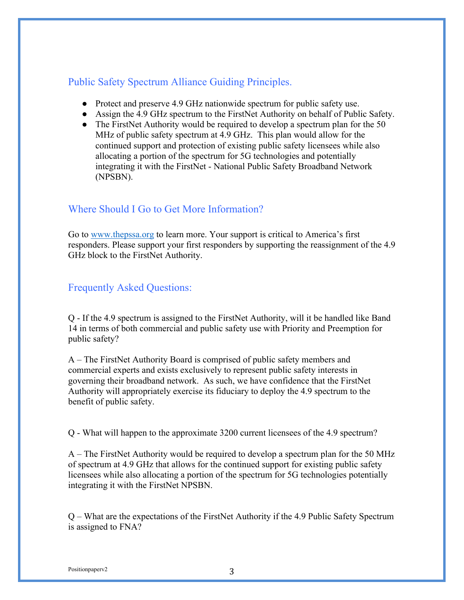# Public Safety Spectrum Alliance Guiding Principles.

- Protect and preserve 4.9 GHz nationwide spectrum for public safety use.
- Assign the 4.9 GHz spectrum to the FirstNet Authority on behalf of Public Safety.
- The FirstNet Authority would be required to develop a spectrum plan for the 50 MHz of public safety spectrum at 4.9 GHz. This plan would allow for the continued support and protection of existing public safety licensees while also allocating a portion of the spectrum for 5G technologies and potentially integrating it with the FirstNet - National Public Safety Broadband Network (NPSBN).

# Where Should I Go to Get More Information?

Go to www.thepssa.org to learn more. Your support is critical to America's first responders. Please support your first responders by supporting the reassignment of the 4.9 GHz block to the FirstNet Authority.

# Frequently Asked Questions:

Q - If the 4.9 spectrum is assigned to the FirstNet Authority, will it be handled like Band 14 in terms of both commercial and public safety use with Priority and Preemption for public safety?

A – The FirstNet Authority Board is comprised of public safety members and commercial experts and exists exclusively to represent public safety interests in governing their broadband network. As such, we have confidence that the FirstNet Authority will appropriately exercise its fiduciary to deploy the 4.9 spectrum to the benefit of public safety.

Q - What will happen to the approximate 3200 current licensees of the 4.9 spectrum?

A – The FirstNet Authority would be required to develop a spectrum plan for the 50 MHz of spectrum at 4.9 GHz that allows for the continued support for existing public safety licensees while also allocating a portion of the spectrum for 5G technologies potentially integrating it with the FirstNet NPSBN.

Q – What are the expectations of the FirstNet Authority if the 4.9 Public Safety Spectrum is assigned to FNA?